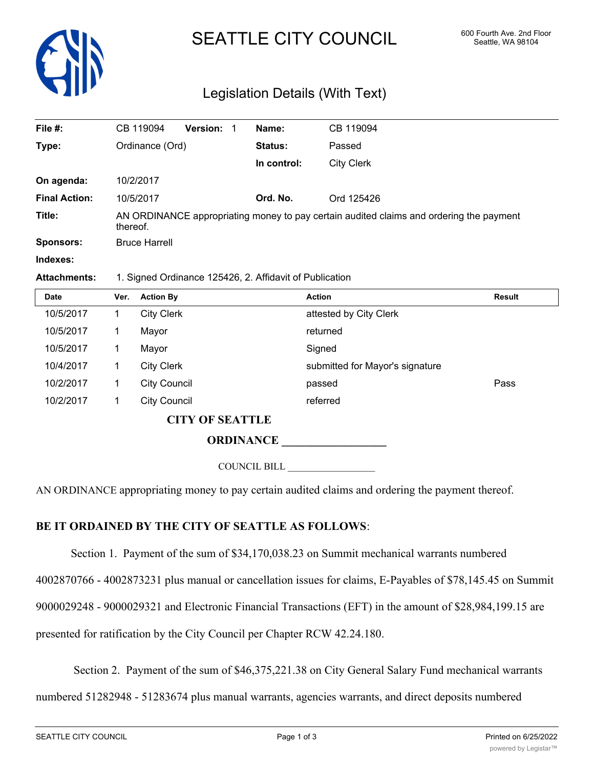

# SEATTLE CITY COUNCIL 600 Fourth Ave. 2nd Floor

## Legislation Details (With Text)

| File #:              | CB 119094                                                                                           | <b>Version:</b> | Name:          | CB 119094         |  |  |
|----------------------|-----------------------------------------------------------------------------------------------------|-----------------|----------------|-------------------|--|--|
| Type:                | Ordinance (Ord)                                                                                     |                 | <b>Status:</b> | Passed            |  |  |
|                      |                                                                                                     |                 | In control:    | <b>City Clerk</b> |  |  |
| On agenda:           | 10/2/2017                                                                                           |                 |                |                   |  |  |
| <b>Final Action:</b> | 10/5/2017                                                                                           |                 | Ord. No.       | Ord 125426        |  |  |
| Title:               | AN ORDINANCE appropriating money to pay certain audited claims and ordering the payment<br>thereof. |                 |                |                   |  |  |
| Sponsors:            | <b>Bruce Harrell</b>                                                                                |                 |                |                   |  |  |
| Indexes:             |                                                                                                     |                 |                |                   |  |  |

#### **Attachments:** 1. Signed Ordinance 125426, 2. Affidavit of Publication

| <b>Date</b>            | Ver. | <b>Action By</b>    | <b>Action</b>                   | <b>Result</b> |  |  |
|------------------------|------|---------------------|---------------------------------|---------------|--|--|
| 10/5/2017              |      | <b>City Clerk</b>   | attested by City Clerk          |               |  |  |
| 10/5/2017              |      | Mayor               | returned                        |               |  |  |
| 10/5/2017              |      | Mayor               | Signed                          |               |  |  |
| 10/4/2017              |      | <b>City Clerk</b>   | submitted for Mayor's signature |               |  |  |
| 10/2/2017              |      | <b>City Council</b> | passed                          | Pass          |  |  |
| 10/2/2017              |      | <b>City Council</b> | referred                        |               |  |  |
| <b>CITY OF SEATTLE</b> |      |                     |                                 |               |  |  |
|                        |      | <b>ODDINANCE</b>    |                                 |               |  |  |

**ORDINANCE \_\_\_\_\_\_\_\_\_\_\_\_\_\_\_\_\_\_**

COUNCIL BILL \_\_\_\_\_\_\_\_\_\_\_\_\_\_\_\_\_\_

AN ORDINANCE appropriating money to pay certain audited claims and ordering the payment thereof.

### **BE IT ORDAINED BY THE CITY OF SEATTLE AS FOLLOWS**:

Section 1. Payment of the sum of \$34,170,038.23 on Summit mechanical warrants numbered

4002870766 - 4002873231 plus manual or cancellation issues for claims, E-Payables of \$78,145.45 on Summit

9000029248 - 9000029321 and Electronic Financial Transactions (EFT) in the amount of \$28,984,199.15 are

presented for ratification by the City Council per Chapter RCW 42.24.180.

Section 2. Payment of the sum of \$46,375,221.38 on City General Salary Fund mechanical warrants

numbered 51282948 - 51283674 plus manual warrants, agencies warrants, and direct deposits numbered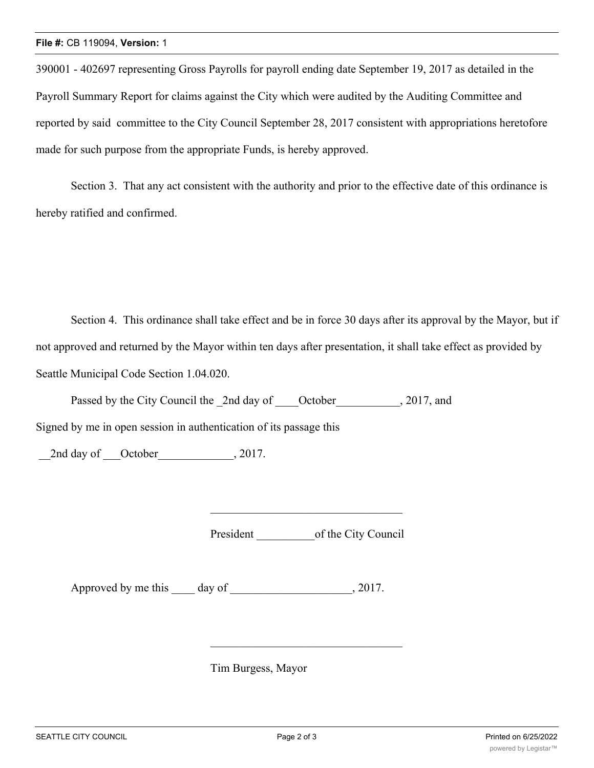390001 - 402697 representing Gross Payrolls for payroll ending date September 19, 2017 as detailed in the Payroll Summary Report for claims against the City which were audited by the Auditing Committee and reported by said committee to the City Council September 28, 2017 consistent with appropriations heretofore made for such purpose from the appropriate Funds, is hereby approved.

Section 3. That any act consistent with the authority and prior to the effective date of this ordinance is hereby ratified and confirmed.

Section 4. This ordinance shall take effect and be in force 30 days after its approval by the Mayor, but if not approved and returned by the Mayor within ten days after presentation, it shall take effect as provided by Seattle Municipal Code Section 1.04.020.

Passed by the City Council the 2nd day of October , 2017, and

Signed by me in open session in authentication of its passage this

2nd day of October 2017.

President \_\_\_\_\_\_\_\_\_\_of the City Council

Approved by me this day of 2017.

Tim Burgess, Mayor